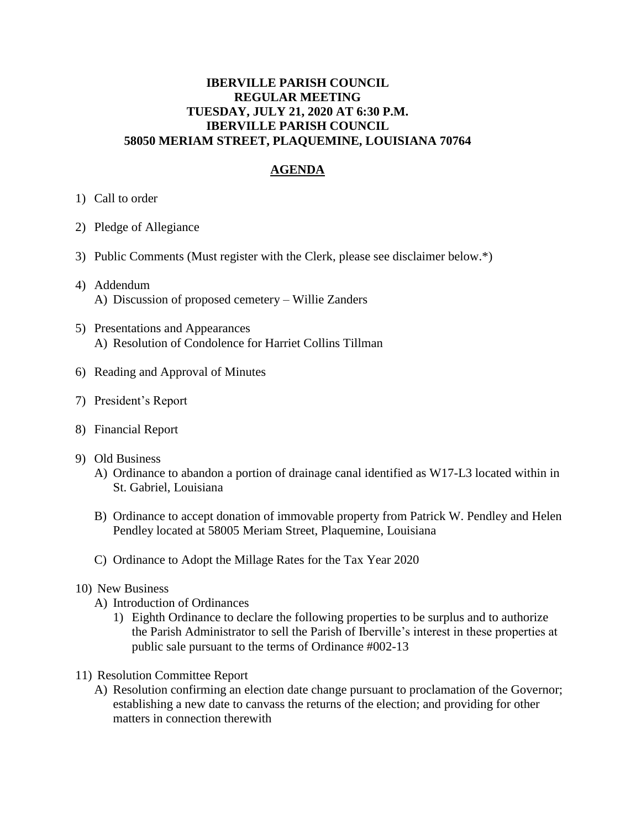## **IBERVILLE PARISH COUNCIL REGULAR MEETING TUESDAY, JULY 21, 2020 AT 6:30 P.M. IBERVILLE PARISH COUNCIL 58050 MERIAM STREET, PLAQUEMINE, LOUISIANA 70764**

## **AGENDA**

- 1) Call to order
- 2) Pledge of Allegiance
- 3) Public Comments (Must register with the Clerk, please see disclaimer below.\*)
- 4) Addendum A) Discussion of proposed cemetery – Willie Zanders
- 5) Presentations and Appearances A) Resolution of Condolence for Harriet Collins Tillman
- 6) Reading and Approval of Minutes
- 7) President's Report
- 8) Financial Report
- 9) Old Business
	- A) Ordinance to abandon a portion of drainage canal identified as W17-L3 located within in St. Gabriel, Louisiana
	- B) Ordinance to accept donation of immovable property from Patrick W. Pendley and Helen Pendley located at 58005 Meriam Street, Plaquemine, Louisiana
	- C) Ordinance to Adopt the Millage Rates for the Tax Year 2020
- 10) New Business
	- A) Introduction of Ordinances
		- 1) Eighth Ordinance to declare the following properties to be surplus and to authorize the Parish Administrator to sell the Parish of Iberville's interest in these properties at public sale pursuant to the terms of Ordinance #002-13
- 11) Resolution Committee Report
	- A) Resolution confirming an election date change pursuant to proclamation of the Governor; establishing a new date to canvass the returns of the election; and providing for other matters in connection therewith